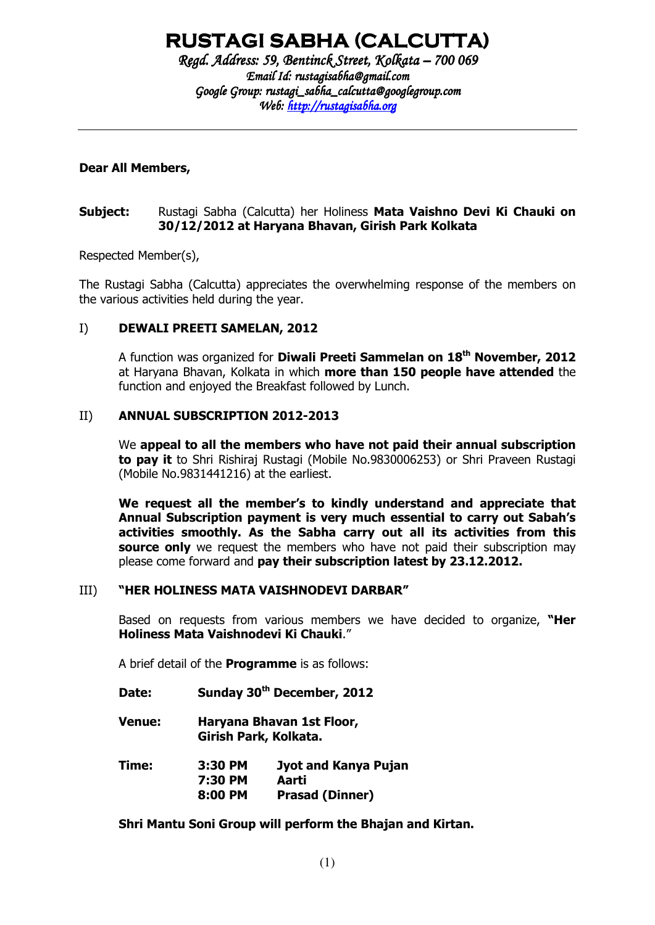# RUSTAGI SABHA (CALCUTTA)

Regd. Address: 59, Bentinck Street, Kolkata – 700 069 Email Id: rustagisabha@gmail.com Google Group: rustagi\_sabha\_calcutta@googlegroup.com Web: http://rustagisabha.org

# Dear All Members,

# Subject: Rustagi Sabha (Calcutta) her Holiness Mata Vaishno Devi Ki Chauki on 30/12/2012 at Haryana Bhavan, Girish Park Kolkata

Respected Member(s),

The Rustagi Sabha (Calcutta) appreciates the overwhelming response of the members on the various activities held during the year.

# I) DEWALI PREETI SAMELAN, 2012

A function was organized for **Diwali Preeti Sammelan on 18<sup>th</sup> November, 2012** at Haryana Bhavan, Kolkata in which more than 150 people have attended the function and enjoyed the Breakfast followed by Lunch.

# II) ANNUAL SUBSCRIPTION 2012-2013

We appeal to all the members who have not paid their annual subscription to pay it to Shri Rishiraj Rustagi (Mobile No.9830006253) or Shri Praveen Rustagi (Mobile No.9831441216) at the earliest.

We request all the member's to kindly understand and appreciate that Annual Subscription payment is very much essential to carry out Sabah's activities smoothly. As the Sabha carry out all its activities from this source only we request the members who have not paid their subscription may please come forward and pay their subscription latest by 23.12.2012.

# III) "HER HOLINESS MATA VAISHNODEVI DARBAR"

Based on requests from various members we have decided to organize, "Her Holiness Mata Vaishnodevi Ki Chauki."

A brief detail of the Programme is as follows:

- Date: Sunday 30<sup>th</sup> December, 2012
- Venue: Haryana Bhavan 1st Floor, Girish Park, Kolkata.
- Time: 3:30 PM Jyot and Kanya Pujan 7:30 PM Aarti 8:00 PM Prasad (Dinner)

Shri Mantu Soni Group will perform the Bhajan and Kirtan.